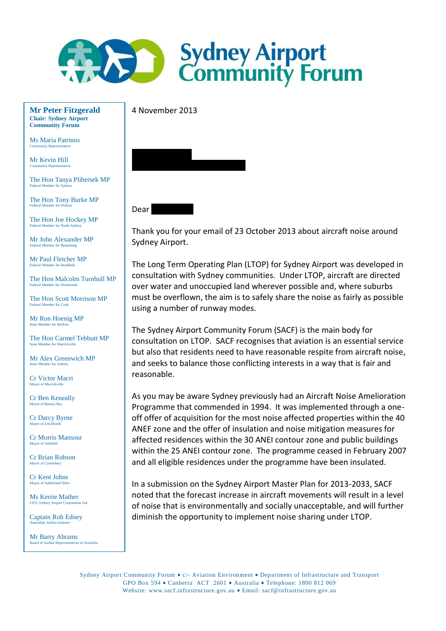

4 November 2013

**Mr Peter Fitzgerald Chair: Sydney Airport Community Forum**

Ms Maria Patrinos Community Representative

Mr Kevin Hill mity Repre

The Hon Tanya Plibersek MP Federal Member for Sy

The Hon Tony Burke MP Federal Member for Watson

The Hon Joe Hockey MP Federal Member for North Sydne

Mr John Alexander MP Federal Member for Bennelong

Mr Paul Fletcher MP Federal Member for Bradfield

The Hon Malcolm Turnbull MP Federal Member for Wentworth

The Hon Scott Morrison MP Federal Member for Cook

Mr Ron Hoenig MP ate Member for Heffron

The Hon Carmel Tebbutt MP State Member for Marrickville

Mr Alex Greenwich MP State Member for Sydney

Cr Victor Macri  $m$  of Ma

Cr Ben Keneally Mayor of Botany Bay

Cr Darcy Byrne  $or$  of Leichhardt

Cr Morris Mansour Mayor of Ashfield

Cr Brian Robson Mayor of Can

Cr Kent Johns Mayor of Sutherland Shire

Ms Kerrie Mather CEO, Sydney Airport Corporation Ltd

Captain Rob Edney Australian Airline Industry

Mr Barry Abrams rd of Airline Representatives of Au



## Dear

Thank you for your email of 23 October 2013 about aircraft noise around Sydney Airport.

The Long Term Operating Plan (LTOP) for Sydney Airport was developed in consultation with Sydney communities. Under LTOP, aircraft are directed over water and unoccupied land wherever possible and, where suburbs must be overflown, the aim is to safely share the noise as fairly as possible using a number of runway modes.

The Sydney Airport Community Forum (SACF) is the main body for consultation on LTOP. SACF recognises that aviation is an essential service but also that residents need to have reasonable respite from aircraft noise, and seeks to balance those conflicting interests in a way that is fair and reasonable.

As you may be aware Sydney previously had an Aircraft Noise Amelioration Programme that commended in 1994. It was implemented through a oneoff offer of acquisition for the most noise affected properties within the 40 ANEF zone and the offer of insulation and noise mitigation measures for affected residences within the 30 ANEI contour zone and public buildings within the 25 ANEI contour zone. The programme ceased in February 2007 and all eligible residences under the programme have been insulated.

In a submission on the Sydney Airport Master Plan for 2013-2033, SACF noted that the forecast increase in aircraft movements will result in a level of noise that is environmentally and socially unacceptable, and will further diminish the opportunity to implement noise sharing under LTOP.